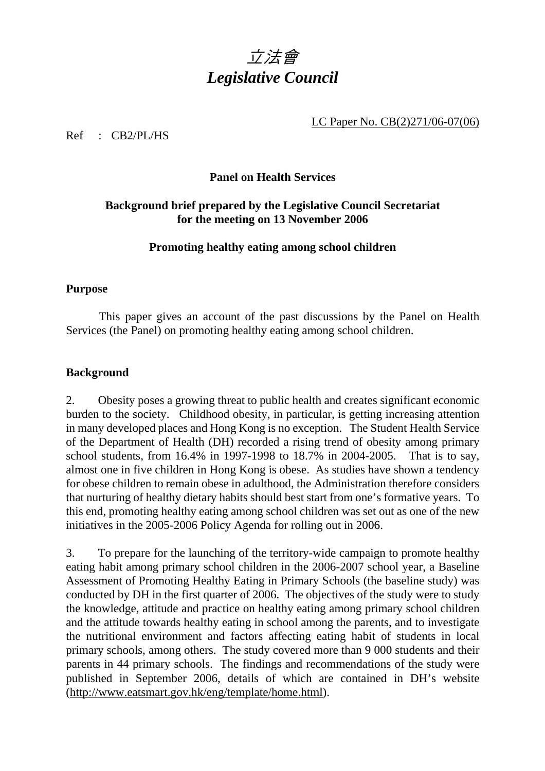

LC Paper No. CB(2)271/06-07(06)

Ref : CB2/PL/HS

## **Panel on Health Services**

# **Background brief prepared by the Legislative Council Secretariat for the meeting on 13 November 2006**

### **Promoting healthy eating among school children**

#### **Purpose**

 This paper gives an account of the past discussions by the Panel on Health Services (the Panel) on promoting healthy eating among school children.

### **Background**

2. Obesity poses a growing threat to public health and creates significant economic burden to the society. Childhood obesity, in particular, is getting increasing attention in many developed places and Hong Kong is no exception. The Student Health Service of the Department of Health (DH) recorded a rising trend of obesity among primary school students, from 16.4% in 1997-1998 to 18.7% in 2004-2005. That is to say, almost one in five children in Hong Kong is obese. As studies have shown a tendency for obese children to remain obese in adulthood, the Administration therefore considers that nurturing of healthy dietary habits should best start from one's formative years. To this end, promoting healthy eating among school children was set out as one of the new initiatives in the 2005-2006 Policy Agenda for rolling out in 2006.

3. To prepare for the launching of the territory-wide campaign to promote healthy eating habit among primary school children in the 2006-2007 school year, a Baseline Assessment of Promoting Healthy Eating in Primary Schools (the baseline study) was conducted by DH in the first quarter of 2006. The objectives of the study were to study the knowledge, attitude and practice on healthy eating among primary school children and the attitude towards healthy eating in school among the parents, and to investigate the nutritional environment and factors affecting eating habit of students in local primary schools, among others. The study covered more than 9 000 students and their parents in 44 primary schools. The findings and recommendations of the study were published in September 2006, details of which are contained in DH's website (http://www.eatsmart.gov.hk/eng/template/home.html).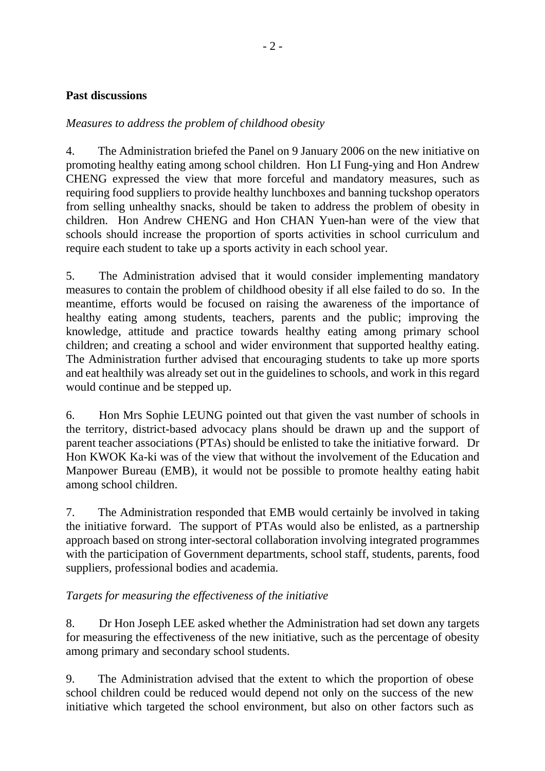### **Past discussions**

### *Measures to address the problem of childhood obesity*

4. The Administration briefed the Panel on 9 January 2006 on the new initiative on promoting healthy eating among school children. Hon LI Fung-ying and Hon Andrew CHENG expressed the view that more forceful and mandatory measures, such as requiring food suppliers to provide healthy lunchboxes and banning tuckshop operators from selling unhealthy snacks, should be taken to address the problem of obesity in children. Hon Andrew CHENG and Hon CHAN Yuen-han were of the view that schools should increase the proportion of sports activities in school curriculum and require each student to take up a sports activity in each school year.

5. The Administration advised that it would consider implementing mandatory measures to contain the problem of childhood obesity if all else failed to do so. In the meantime, efforts would be focused on raising the awareness of the importance of healthy eating among students, teachers, parents and the public; improving the knowledge, attitude and practice towards healthy eating among primary school children; and creating a school and wider environment that supported healthy eating. The Administration further advised that encouraging students to take up more sports and eat healthily was already set out in the guidelines to schools, and work in this regard would continue and be stepped up.

6. Hon Mrs Sophie LEUNG pointed out that given the vast number of schools in the territory, district-based advocacy plans should be drawn up and the support of parent teacher associations (PTAs) should be enlisted to take the initiative forward. Dr Hon KWOK Ka-ki was of the view that without the involvement of the Education and Manpower Bureau (EMB), it would not be possible to promote healthy eating habit among school children.

7. The Administration responded that EMB would certainly be involved in taking the initiative forward. The support of PTAs would also be enlisted, as a partnership approach based on strong inter-sectoral collaboration involving integrated programmes with the participation of Government departments, school staff, students, parents, food suppliers, professional bodies and academia.

### *Targets for measuring the effectiveness of the initiative*

8. Dr Hon Joseph LEE asked whether the Administration had set down any targets for measuring the effectiveness of the new initiative, such as the percentage of obesity among primary and secondary school students.

9. The Administration advised that the extent to which the proportion of obese school children could be reduced would depend not only on the success of the new initiative which targeted the school environment, but also on other factors such as